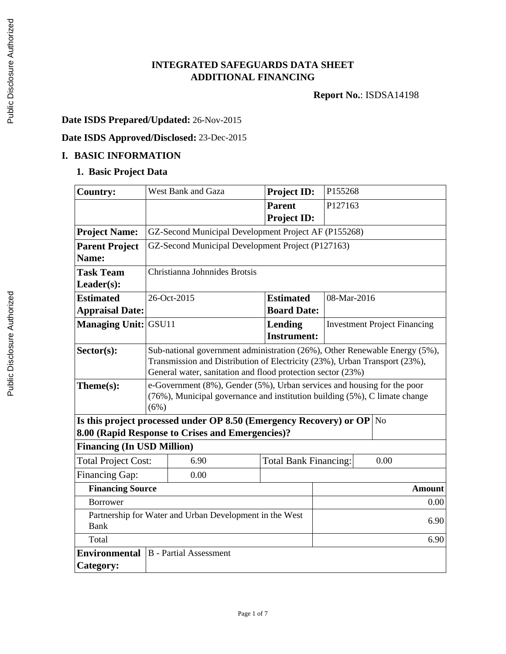# **INTEGRATED SAFEGUARDS DATA SHEET ADDITIONAL FINANCING**

**Report No.**: ISDSA14198

# **Date ISDS Prepared/Updated:** 26-Nov-2015

# **Date ISDS Approved/Disclosed:** 23-Dec-2015

### **I. BASIC INFORMATION**

# **1. Basic Project Data**

| <b>Country:</b>                                                        |                                                                                                                                                       | West Bank and Gaza                                                         | <b>Project ID:</b>           | P155268                             |                |  |
|------------------------------------------------------------------------|-------------------------------------------------------------------------------------------------------------------------------------------------------|----------------------------------------------------------------------------|------------------------------|-------------------------------------|----------------|--|
|                                                                        |                                                                                                                                                       |                                                                            | <b>Parent</b>                | P127163                             |                |  |
|                                                                        |                                                                                                                                                       |                                                                            | <b>Project ID:</b>           |                                     |                |  |
| <b>Project Name:</b>                                                   |                                                                                                                                                       | GZ-Second Municipal Development Project AF (P155268)                       |                              |                                     |                |  |
| <b>Parent Project</b>                                                  |                                                                                                                                                       | GZ-Second Municipal Development Project (P127163)                          |                              |                                     |                |  |
| Name:                                                                  |                                                                                                                                                       |                                                                            |                              |                                     |                |  |
| <b>Task Team</b>                                                       |                                                                                                                                                       | Christianna Johnnides Brotsis                                              |                              |                                     |                |  |
| Leader(s):                                                             |                                                                                                                                                       |                                                                            |                              |                                     |                |  |
| <b>Estimated</b>                                                       |                                                                                                                                                       | 26-Oct-2015                                                                | <b>Estimated</b>             | 08-Mar-2016                         |                |  |
| <b>Appraisal Date:</b>                                                 |                                                                                                                                                       |                                                                            | <b>Board Date:</b>           |                                     |                |  |
| <b>Managing Unit: GSU11</b>                                            |                                                                                                                                                       |                                                                            | Lending                      | <b>Investment Project Financing</b> |                |  |
|                                                                        |                                                                                                                                                       |                                                                            | <b>Instrument:</b>           |                                     |                |  |
| Sector(s):                                                             |                                                                                                                                                       | Sub-national government administration (26%), Other Renewable Energy (5%), |                              |                                     |                |  |
|                                                                        |                                                                                                                                                       | Transmission and Distribution of Electricity (23%), Urban Transport (23%), |                              |                                     |                |  |
|                                                                        |                                                                                                                                                       | General water, sanitation and flood protection sector (23%)                |                              |                                     |                |  |
| Theme(s):                                                              | e-Government (8%), Gender (5%), Urban services and housing for the poor<br>(76%), Municipal governance and institution building (5%), C limate change |                                                                            |                              |                                     |                |  |
|                                                                        | (6%)                                                                                                                                                  |                                                                            |                              |                                     |                |  |
|                                                                        |                                                                                                                                                       | Is this project processed under OP 8.50 (Emergency Recovery) or OP         |                              |                                     | N <sub>o</sub> |  |
|                                                                        | 8.00 (Rapid Response to Crises and Emergencies)?                                                                                                      |                                                                            |                              |                                     |                |  |
| <b>Financing (In USD Million)</b>                                      |                                                                                                                                                       |                                                                            |                              |                                     |                |  |
| <b>Total Project Cost:</b>                                             |                                                                                                                                                       | 6.90                                                                       | <b>Total Bank Financing:</b> | 0.00                                |                |  |
| <b>Financing Gap:</b>                                                  |                                                                                                                                                       | 0.00                                                                       |                              |                                     |                |  |
| <b>Financing Source</b><br><b>Amount</b>                               |                                                                                                                                                       |                                                                            |                              |                                     |                |  |
| <b>Borrower</b>                                                        |                                                                                                                                                       |                                                                            |                              | 0.00                                |                |  |
| Partnership for Water and Urban Development in the West<br><b>Bank</b> |                                                                                                                                                       |                                                                            | 6.90                         |                                     |                |  |
| Total                                                                  |                                                                                                                                                       |                                                                            |                              |                                     | 6.90           |  |
| <b>Environmental</b>                                                   |                                                                                                                                                       | <b>B</b> - Partial Assessment                                              |                              |                                     |                |  |
| <b>Category:</b>                                                       |                                                                                                                                                       |                                                                            |                              |                                     |                |  |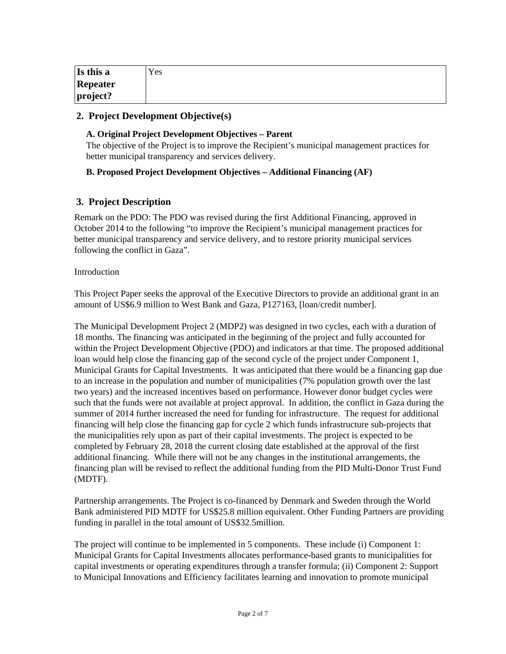| Is this a | Yes |
|-----------|-----|
| Repeater  |     |
| project?  |     |

### **2. Project Development Objective(s)**

#### **A. Original Project Development Objectives – Parent**

The objective of the Project is to improve the Recipient's municipal management practices for better municipal transparency and services delivery.

#### **B. Proposed Project Development Objectives – Additional Financing (AF)**

### **3. Project Description**

Remark on the PDO: The PDO was revised during the first Additional Financing, approved in October 2014 to the following "to improve the Recipient's municipal management practices for better municipal transparency and service delivery, and to restore priority municipal services following the conflict in Gaza".

#### Introduction

This Project Paper seeks the approval of the Executive Directors to provide an additional grant in an amount of US\$6.9 million to West Bank and Gaza, P127163, [loan/credit number].

The Municipal Development Project 2 (MDP2) was designed in two cycles, each with a duration of 18 months. The financing was anticipated in the beginning of the project and fully accounted for within the Project Development Objective (PDO) and indicators at that time. The proposed additional loan would help close the financing gap of the second cycle of the project under Component 1, Municipal Grants for Capital Investments. It was anticipated that there would be a financing gap due to an increase in the population and number of municipalities (7% population growth over the last two years) and the increased incentives based on performance. However donor budget cycles were such that the funds were not available at project approval. In addition, the conflict in Gaza during the summer of 2014 further increased the need for funding for infrastructure. The request for additional financing will help close the financing gap for cycle 2 which funds infrastructure sub-projects that the municipalities rely upon as part of their capital investments. The project is expected to be completed by February 28, 2018 the current closing date established at the approval of the first additional financing. While there will not be any changes in the institutional arrangements, the financing plan will be revised to reflect the additional funding from the PID Multi-Donor Trust Fund (MDTF).

Partnership arrangements. The Project is co-financed by Denmark and Sweden through the World Bank administered PID MDTF for US\$25.8 million equivalent. Other Funding Partners are providing funding in parallel in the total amount of US\$32.5million.

The project will continue to be implemented in 5 components. These include (i) Component 1: Municipal Grants for Capital Investments allocates performance-based grants to municipalities for capital investments or operating expenditures through a transfer formula; (ii) Component 2: Support to Municipal Innovations and Efficiency facilitates learning and innovation to promote municipal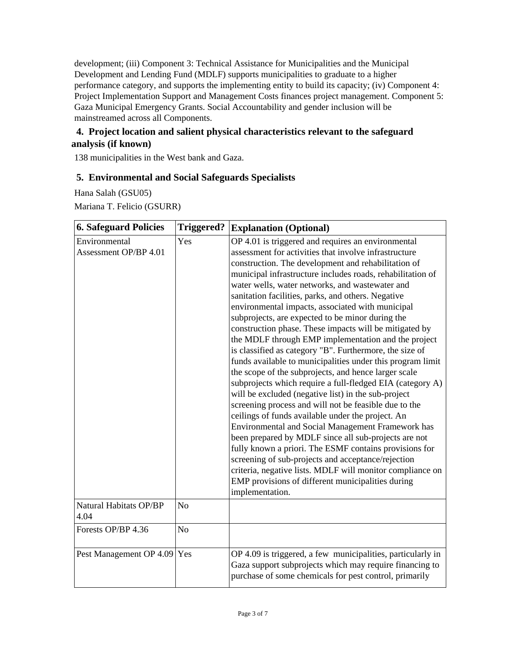development; (iii) Component 3: Technical Assistance for Municipalities and the Municipal Development and Lending Fund (MDLF) supports municipalities to graduate to a higher performance category, and supports the implementing entity to build its capacity; (iv) Component 4: Project Implementation Support and Management Costs finances project management. Component 5: Gaza Municipal Emergency Grants. Social Accountability and gender inclusion will be mainstreamed across all Components.

# **4. Project location and salient physical characteristics relevant to the safeguard analysis (if known)**

138 municipalities in the West bank and Gaza.

## **5. Environmental and Social Safeguards Specialists**

Hana Salah (GSU05) Mariana T. Felicio (GSURR)

| <b>6. Safeguard Policies</b>           | <b>Triggered?</b> | <b>Explanation (Optional)</b>                                                                                                                                                                                                                                                                                                                                                                                                                                                                                                                                                                                                                                                                                                                                                                                                                                                                                                                                                                                                                                                                                                                                                                                                                                                                                                                           |
|----------------------------------------|-------------------|---------------------------------------------------------------------------------------------------------------------------------------------------------------------------------------------------------------------------------------------------------------------------------------------------------------------------------------------------------------------------------------------------------------------------------------------------------------------------------------------------------------------------------------------------------------------------------------------------------------------------------------------------------------------------------------------------------------------------------------------------------------------------------------------------------------------------------------------------------------------------------------------------------------------------------------------------------------------------------------------------------------------------------------------------------------------------------------------------------------------------------------------------------------------------------------------------------------------------------------------------------------------------------------------------------------------------------------------------------|
| Environmental<br>Assessment OP/BP 4.01 | Yes               | OP 4.01 is triggered and requires an environmental<br>assessment for activities that involve infrastructure<br>construction. The development and rehabilitation of<br>municipal infrastructure includes roads, rehabilitation of<br>water wells, water networks, and wastewater and<br>sanitation facilities, parks, and others. Negative<br>environmental impacts, associated with municipal<br>subprojects, are expected to be minor during the<br>construction phase. These impacts will be mitigated by<br>the MDLF through EMP implementation and the project<br>is classified as category "B". Furthermore, the size of<br>funds available to municipalities under this program limit<br>the scope of the subprojects, and hence larger scale<br>subprojects which require a full-fledged EIA (category A)<br>will be excluded (negative list) in the sub-project<br>screening process and will not be feasible due to the<br>ceilings of funds available under the project. An<br>Environmental and Social Management Framework has<br>been prepared by MDLF since all sub-projects are not<br>fully known a priori. The ESMF contains provisions for<br>screening of sub-projects and acceptance/rejection<br>criteria, negative lists. MDLF will monitor compliance on<br>EMP provisions of different municipalities during<br>implementation. |
| Natural Habitats OP/BP<br>4.04         | N <sub>o</sub>    |                                                                                                                                                                                                                                                                                                                                                                                                                                                                                                                                                                                                                                                                                                                                                                                                                                                                                                                                                                                                                                                                                                                                                                                                                                                                                                                                                         |
| Forests OP/BP 4.36                     | N <sub>o</sub>    |                                                                                                                                                                                                                                                                                                                                                                                                                                                                                                                                                                                                                                                                                                                                                                                                                                                                                                                                                                                                                                                                                                                                                                                                                                                                                                                                                         |
| Pest Management OP 4.09 Yes            |                   | OP 4.09 is triggered, a few municipalities, particularly in<br>Gaza support subprojects which may require financing to<br>purchase of some chemicals for pest control, primarily                                                                                                                                                                                                                                                                                                                                                                                                                                                                                                                                                                                                                                                                                                                                                                                                                                                                                                                                                                                                                                                                                                                                                                        |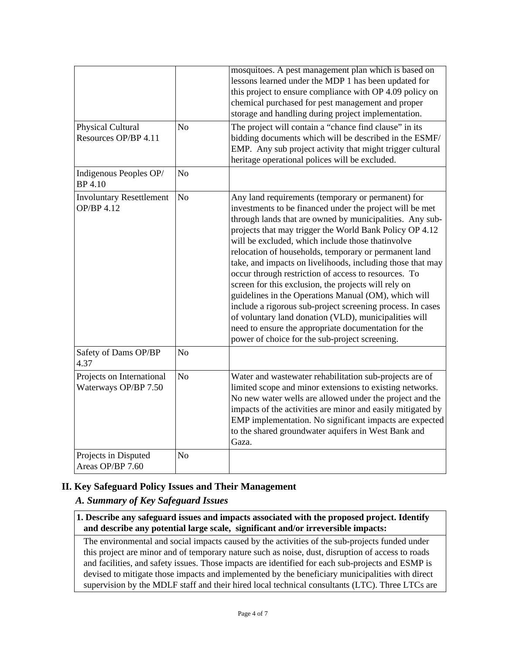|                                                      |                | mosquitoes. A pest management plan which is based on<br>lessons learned under the MDP 1 has been updated for<br>this project to ensure compliance with OP 4.09 policy on<br>chemical purchased for pest management and proper<br>storage and handling during project implementation.                                                                                                                                                                                                                                                                                                                                                                                                                                                                                                                                        |
|------------------------------------------------------|----------------|-----------------------------------------------------------------------------------------------------------------------------------------------------------------------------------------------------------------------------------------------------------------------------------------------------------------------------------------------------------------------------------------------------------------------------------------------------------------------------------------------------------------------------------------------------------------------------------------------------------------------------------------------------------------------------------------------------------------------------------------------------------------------------------------------------------------------------|
| Physical Cultural<br>Resources OP/BP 4.11            | N <sub>o</sub> | The project will contain a "chance find clause" in its<br>bidding documents which will be described in the ESMF/<br>EMP. Any sub project activity that might trigger cultural<br>heritage operational polices will be excluded.                                                                                                                                                                                                                                                                                                                                                                                                                                                                                                                                                                                             |
| Indigenous Peoples OP/<br><b>BP</b> 4.10             | N <sub>o</sub> |                                                                                                                                                                                                                                                                                                                                                                                                                                                                                                                                                                                                                                                                                                                                                                                                                             |
| <b>Involuntary Resettlement</b><br><b>OP/BP 4.12</b> | N <sub>o</sub> | Any land requirements (temporary or permanent) for<br>investments to be financed under the project will be met<br>through lands that are owned by municipalities. Any sub-<br>projects that may trigger the World Bank Policy OP 4.12<br>will be excluded, which include those that involve<br>relocation of households, temporary or permanent land<br>take, and impacts on livelihoods, including those that may<br>occur through restriction of access to resources. To<br>screen for this exclusion, the projects will rely on<br>guidelines in the Operations Manual (OM), which will<br>include a rigorous sub-project screening process. In cases<br>of voluntary land donation (VLD), municipalities will<br>need to ensure the appropriate documentation for the<br>power of choice for the sub-project screening. |
| Safety of Dams OP/BP<br>4.37                         | N <sub>o</sub> |                                                                                                                                                                                                                                                                                                                                                                                                                                                                                                                                                                                                                                                                                                                                                                                                                             |
| Projects on International<br>Waterways OP/BP 7.50    | N <sub>o</sub> | Water and wastewater rehabilitation sub-projects are of<br>limited scope and minor extensions to existing networks.<br>No new water wells are allowed under the project and the<br>impacts of the activities are minor and easily mitigated by<br>EMP implementation. No significant impacts are expected<br>to the shared groundwater aquifers in West Bank and<br>Gaza.                                                                                                                                                                                                                                                                                                                                                                                                                                                   |
| Projects in Disputed<br>Areas OP/BP 7.60             | No             |                                                                                                                                                                                                                                                                                                                                                                                                                                                                                                                                                                                                                                                                                                                                                                                                                             |

# **II. Key Safeguard Policy Issues and Their Management**

## *A. Summary of Key Safeguard Issues*

#### **1. Describe any safeguard issues and impacts associated with the proposed project. Identify and describe any potential large scale, significant and/or irreversible impacts:**

The environmental and social impacts caused by the activities of the sub-projects funded under this project are minor and of temporary nature such as noise, dust, disruption of access to roads and facilities, and safety issues. Those impacts are identified for each sub-projects and ESMP is devised to mitigate those impacts and implemented by the beneficiary municipalities with direct supervision by the MDLF staff and their hired local technical consultants (LTC). Three LTCs are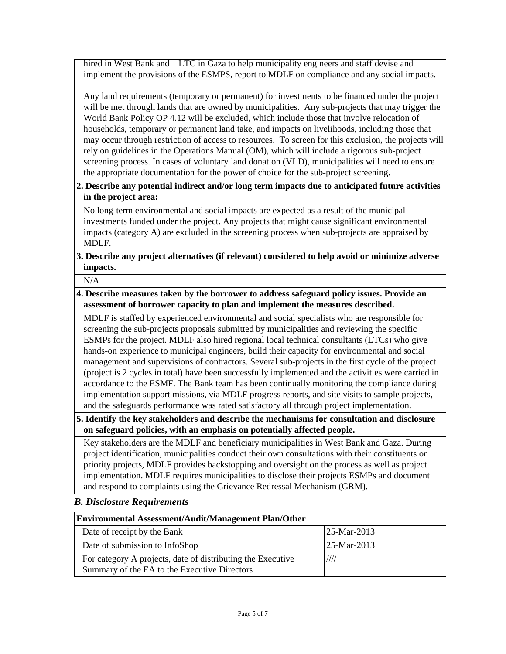hired in West Bank and 1 LTC in Gaza to help municipality engineers and staff devise and implement the provisions of the ESMPS, report to MDLF on compliance and any social impacts.

Any land requirements (temporary or permanent) for investments to be financed under the project will be met through lands that are owned by municipalities. Any sub-projects that may trigger the World Bank Policy OP 4.12 will be excluded, which include those that involve relocation of households, temporary or permanent land take, and impacts on livelihoods, including those that may occur through restriction of access to resources. To screen for this exclusion, the projects will rely on guidelines in the Operations Manual (OM), which will include a rigorous sub-project screening process. In cases of voluntary land donation (VLD), municipalities will need to ensure the appropriate documentation for the power of choice for the sub-project screening.

# **2. Describe any potential indirect and/or long term impacts due to anticipated future activities in the project area:**

No long-term environmental and social impacts are expected as a result of the municipal investments funded under the project. Any projects that might cause significant environmental impacts (category A) are excluded in the screening process when sub-projects are appraised by MDLF.

### **3. Describe any project alternatives (if relevant) considered to help avoid or minimize adverse impacts.**

N/A

#### **4. Describe measures taken by the borrower to address safeguard policy issues. Provide an assessment of borrower capacity to plan and implement the measures described.**

MDLF is staffed by experienced environmental and social specialists who are responsible for screening the sub-projects proposals submitted by municipalities and reviewing the specific ESMPs for the project. MDLF also hired regional local technical consultants (LTCs) who give hands-on experience to municipal engineers, build their capacity for environmental and social management and supervisions of contractors. Several sub-projects in the first cycle of the project (project is 2 cycles in total) have been successfully implemented and the activities were carried in accordance to the ESMF. The Bank team has been continually monitoring the compliance during implementation support missions, via MDLF progress reports, and site visits to sample projects, and the safeguards performance was rated satisfactory all through project implementation.

## **5. Identify the key stakeholders and describe the mechanisms for consultation and disclosure on safeguard policies, with an emphasis on potentially affected people.**

Key stakeholders are the MDLF and beneficiary municipalities in West Bank and Gaza. During project identification, municipalities conduct their own consultations with their constituents on priority projects, MDLF provides backstopping and oversight on the process as well as project implementation. MDLF requires municipalities to disclose their projects ESMPs and document and respond to complaints using the Grievance Redressal Mechanism (GRM).

## *B. Disclosure Requirements*

| <b>Environmental Assessment/Audit/Management Plan/Other</b>                                                 |                 |  |  |
|-------------------------------------------------------------------------------------------------------------|-----------------|--|--|
| Date of receipt by the Bank                                                                                 | 25-Mar-2013     |  |  |
| Date of submission to InfoShop                                                                              | $ 25-Mar-2013 $ |  |  |
| For category A projects, date of distributing the Executive<br>Summary of the EA to the Executive Directors | 1111            |  |  |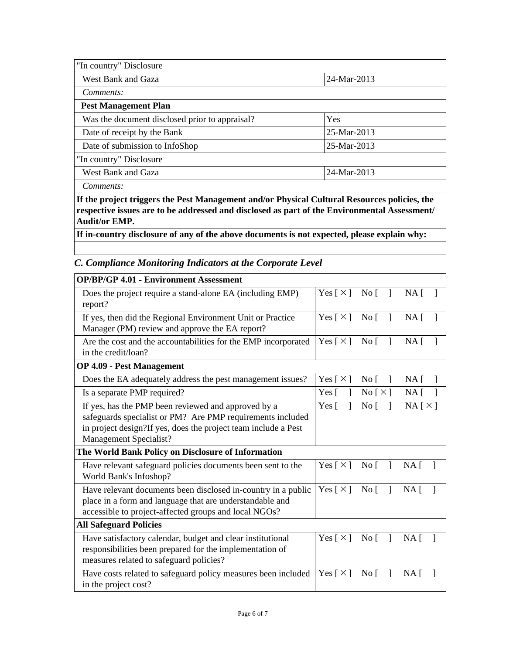| "In country" Disclosure                                                                      |             |  |  |
|----------------------------------------------------------------------------------------------|-------------|--|--|
| West Bank and Gaza<br>24-Mar-2013                                                            |             |  |  |
| Comments:                                                                                    |             |  |  |
| <b>Pest Management Plan</b>                                                                  |             |  |  |
| Was the document disclosed prior to appraisal?                                               | Yes         |  |  |
| Date of receipt by the Bank                                                                  | 25-Mar-2013 |  |  |
| Date of submission to InfoShop                                                               | 25-Mar-2013 |  |  |
| "In country" Disclosure                                                                      |             |  |  |
| West Bank and Gaza<br>24-Mar-2013                                                            |             |  |  |
| Comments:                                                                                    |             |  |  |
| If the project triggers the Pest Management and/or Physical Cultural Resources policies, the |             |  |  |

**respective issues are to be addressed and disclosed as part of the Environmental Assessment/ Audit/or EMP.**

**If in-country disclosure of any of the above documents is not expected, please explain why:**

*C. Compliance Monitoring Indicators at the Corporate Level*

| <b>OP/BP/GP 4.01 - Environment Assessment</b>                                                                                                                                                                 |                            |                                 |                 |
|---------------------------------------------------------------------------------------------------------------------------------------------------------------------------------------------------------------|----------------------------|---------------------------------|-----------------|
| Does the project require a stand-alone EA (including EMP)<br>report?                                                                                                                                          | Yes $\lceil \times \rceil$ | $\overline{N}$ o<br>1           | NA <sub>1</sub> |
| If yes, then did the Regional Environment Unit or Practice<br>Manager (PM) review and approve the EA report?                                                                                                  | Yes $\lceil \times \rceil$ | No <sub>1</sub><br>$\mathbf{I}$ | NA <sub>1</sub> |
| Are the cost and the accountabilities for the EMP incorporated<br>in the credit/loan?                                                                                                                         | Yes $\lceil \times \rceil$ | No <sub>1</sub><br>-1           | NA <sub>1</sub> |
| <b>OP 4.09 - Pest Management</b>                                                                                                                                                                              |                            |                                 |                 |
| Does the EA adequately address the pest management issues?                                                                                                                                                    | Yes [ $\times$ ]           | $\overline{N}$ o<br>-1          | $NA \Gamma$     |
| Is a separate PMP required?                                                                                                                                                                                   | Yes $\lceil$<br>1          | No [ $\times$ ]                 | NA <sub>1</sub> |
| If yes, has the PMP been reviewed and approved by a<br>safeguards specialist or PM? Are PMP requirements included<br>in project design?If yes, does the project team include a Pest<br>Management Specialist? | Yes $\lceil$<br>1          | No <sub>1</sub><br>-1           | NA[X]           |
| The World Bank Policy on Disclosure of Information                                                                                                                                                            |                            |                                 |                 |
| Have relevant safeguard policies documents been sent to the<br>World Bank's Infoshop?                                                                                                                         | Yes $\lceil \times \rceil$ | $No \lceil \rceil$              | $NA \,$ [       |
| Have relevant documents been disclosed in-country in a public<br>place in a form and language that are understandable and<br>accessible to project-affected groups and local NGOs?                            | Yes $\lceil \times \rceil$ | $\overline{N}$ o<br>1           | NA <sub>1</sub> |
| <b>All Safeguard Policies</b>                                                                                                                                                                                 |                            |                                 |                 |
| Have satisfactory calendar, budget and clear institutional<br>responsibilities been prepared for the implementation of<br>measures related to safeguard policies?                                             | Yes $\lceil \times \rceil$ | No <sub>1</sub><br>1            | $NA \Gamma$     |
| Have costs related to safeguard policy measures been included<br>in the project cost?                                                                                                                         | Yes $\lceil \times \rceil$ | No <sub>1</sub>                 | NA [            |